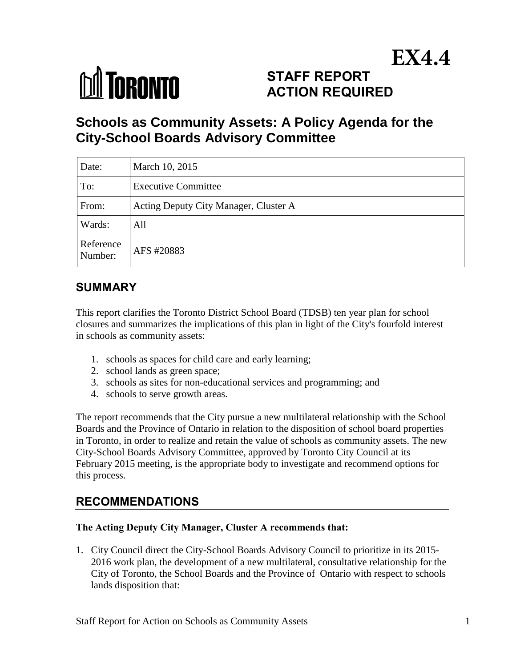

# **STAFF REPORT ACTION REQUIRED EX4.4**

# **Schools as Community Assets: A Policy Agenda for the City-School Boards Advisory Committee**

| Date:                | March 10, 2015                        |
|----------------------|---------------------------------------|
| To:                  | <b>Executive Committee</b>            |
| From:                | Acting Deputy City Manager, Cluster A |
| Wards:               | All                                   |
| Reference<br>Number: | AFS #20883                            |

# **SUMMARY**

This report clarifies the Toronto District School Board (TDSB) ten year plan for school closures and summarizes the implications of this plan in light of the City's fourfold interest in schools as community assets:

- 1. schools as spaces for child care and early learning;
- 2. school lands as green space;
- 3. schools as sites for non-educational services and programming; and
- 4. schools to serve growth areas.

The report recommends that the City pursue a new multilateral relationship with the School Boards and the Province of Ontario in relation to the disposition of school board properties in Toronto, in order to realize and retain the value of schools as community assets. The new City-School Boards Advisory Committee, approved by Toronto City Council at its February 2015 meeting, is the appropriate body to investigate and recommend options for this process.

# **RECOMMENDATIONS**

#### **The Acting Deputy City Manager, Cluster A recommends that:**

1. City Council direct the City-School Boards Advisory Council to prioritize in its 2015- 2016 work plan, the development of a new multilateral, consultative relationship for the City of Toronto, the School Boards and the Province of Ontario with respect to schools lands disposition that: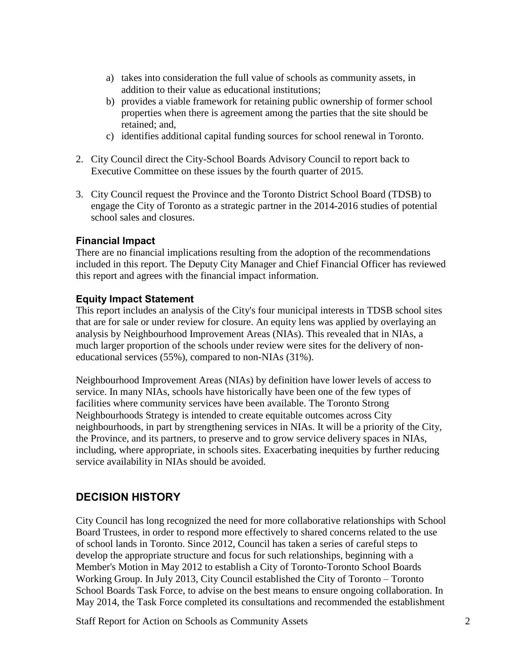- a) takes into consideration the full value of schools as community assets, in addition to their value as educational institutions;
- b) provides a viable framework for retaining public ownership of former school properties when there is agreement among the parties that the site should be retained; and,
- c) identifies additional capital funding sources for school renewal in Toronto.
- 2. City Council direct the City-School Boards Advisory Council to report back to Executive Committee on these issues by the fourth quarter of 2015.
- 3. City Council request the Province and the Toronto District School Board (TDSB) to engage the City of Toronto as a strategic partner in the 2014-2016 studies of potential school sales and closures.

#### **Financial Impact**

There are no financial implications resulting from the adoption of the recommendations included in this report. The Deputy City Manager and Chief Financial Officer has reviewed this report and agrees with the financial impact information.

#### **Equity Impact Statement**

This report includes an analysis of the City's four municipal interests in TDSB school sites that are for sale or under review for closure. An equity lens was applied by overlaying an analysis by Neighbourhood Improvement Areas (NIAs). This revealed that in NIAs, a much larger proportion of the schools under review were sites for the delivery of noneducational services (55%), compared to non-NIAs (31%).

Neighbourhood Improvement Areas (NIAs) by definition have lower levels of access to service. In many NIAs, schools have historically have been one of the few types of facilities where community services have been available. The Toronto Strong Neighbourhoods Strategy is intended to create equitable outcomes across City neighbourhoods, in part by strengthening services in NIAs. It will be a priority of the City, the Province, and its partners, to preserve and to grow service delivery spaces in NIAs, including, where appropriate, in schools sites. Exacerbating inequities by further reducing service availability in NIAs should be avoided.

#### **DECISION HISTORY**

City Council has long recognized the need for more collaborative relationships with School Board Trustees, in order to respond more effectively to shared concerns related to the use of school lands in Toronto. Since 2012, Council has taken a series of careful steps to develop the appropriate structure and focus for such relationships, beginning with a Member's Motion in May 2012 to establish a City of Toronto-Toronto School Boards Working Group. In July 2013, City Council established the City of Toronto – Toronto School Boards Task Force, to advise on the best means to ensure ongoing collaboration. In May 2014, the Task Force completed its consultations and recommended the establishment

Staff Report for Action on Schools as Community Assets 2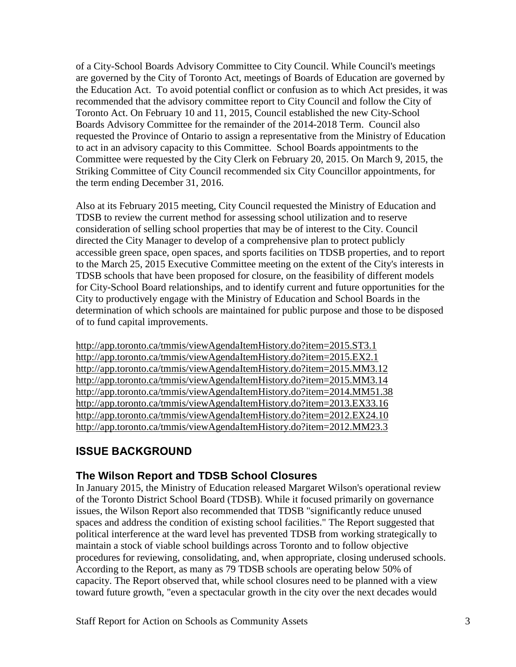of a City-School Boards Advisory Committee to City Council. While Council's meetings are governed by the City of Toronto Act, meetings of Boards of Education are governed by the Education Act. To avoid potential conflict or confusion as to which Act presides, it was recommended that the advisory committee report to City Council and follow the City of Toronto Act. On February 10 and 11, 2015, Council established the new City-School Boards Advisory Committee for the remainder of the 2014-2018 Term. Council also requested the Province of Ontario to assign a representative from the Ministry of Education to act in an advisory capacity to this Committee. School Boards appointments to the Committee were requested by the City Clerk on February 20, 2015. On March 9, 2015, the Striking Committee of City Council recommended six City Councillor appointments, for the term ending December 31, 2016.

Also at its February 2015 meeting, City Council requested the Ministry of Education and TDSB to review the current method for assessing school utilization and to reserve consideration of selling school properties that may be of interest to the City. Council directed the City Manager to develop of a comprehensive plan to protect publicly accessible green space, open spaces, and sports facilities on TDSB properties, and to report to the March 25, 2015 Executive Committee meeting on the extent of the City's interests in TDSB schools that have been proposed for closure, on the feasibility of different models for City-School Board relationships, and to identify current and future opportunities for the City to productively engage with the Ministry of Education and School Boards in the determination of which schools are maintained for public purpose and those to be disposed of to fund capital improvements.

<http://app.toronto.ca/tmmis/viewAgendaItemHistory.do?item=2015.ST3.1> <http://app.toronto.ca/tmmis/viewAgendaItemHistory.do?item=2015.EX2.1> <http://app.toronto.ca/tmmis/viewAgendaItemHistory.do?item=2015.MM3.12> <http://app.toronto.ca/tmmis/viewAgendaItemHistory.do?item=2015.MM3.14> <http://app.toronto.ca/tmmis/viewAgendaItemHistory.do?item=2014.MM51.38> <http://app.toronto.ca/tmmis/viewAgendaItemHistory.do?item=2013.EX33.16> <http://app.toronto.ca/tmmis/viewAgendaItemHistory.do?item=2012.EX24.10> <http://app.toronto.ca/tmmis/viewAgendaItemHistory.do?item=2012.MM23.3>

# **ISSUE BACKGROUND**

## **The Wilson Report and TDSB School Closures**

In January 2015, the Ministry of Education released Margaret Wilson's operational review of the Toronto District School Board (TDSB). While it focused primarily on governance issues, the Wilson Report also recommended that TDSB "significantly reduce unused spaces and address the condition of existing school facilities." The Report suggested that political interference at the ward level has prevented TDSB from working strategically to maintain a stock of viable school buildings across Toronto and to follow objective procedures for reviewing, consolidating, and, when appropriate, closing underused schools. According to the Report, as many as 79 TDSB schools are operating below 50% of capacity. The Report observed that, while school closures need to be planned with a view toward future growth, "even a spectacular growth in the city over the next decades would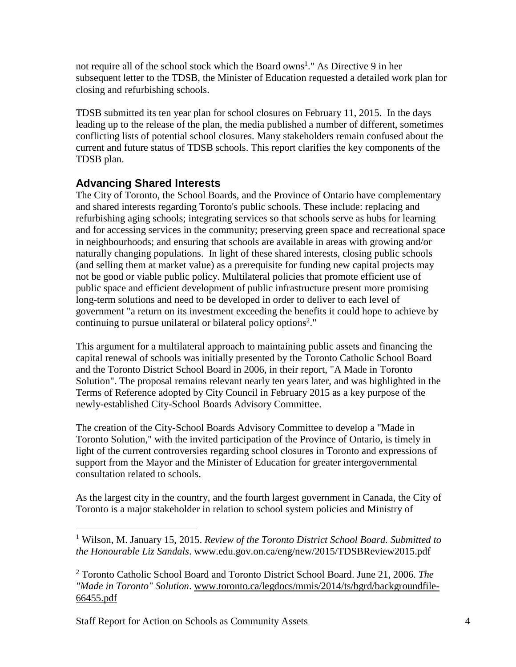not require all of the school stock which the Board owns<sup>1</sup>." As Directive 9 in her subsequent letter to the TDSB, the Minister of Education requested a detailed work plan for closing and refurbishing schools.

TDSB submitted its ten year plan for school closures on February 11, 2015. In the days leading up to the release of the plan, the media published a number of different, sometimes conflicting lists of potential school closures. Many stakeholders remain confused about the current and future status of TDSB schools. This report clarifies the key components of the TDSB plan.

## **Advancing Shared Interests**

The City of Toronto, the School Boards, and the Province of Ontario have complementary and shared interests regarding Toronto's public schools. These include: replacing and refurbishing aging schools; integrating services so that schools serve as hubs for learning and for accessing services in the community; preserving green space and recreational space in neighbourhoods; and ensuring that schools are available in areas with growing and/or naturally changing populations. In light of these shared interests, closing public schools (and selling them at market value) as a prerequisite for funding new capital projects may not be good or viable public policy. Multilateral policies that promote efficient use of public space and efficient development of public infrastructure present more promising long-term solutions and need to be developed in order to deliver to each level of government "a return on its investment exceeding the benefits it could hope to achieve by continuing to pursue unilateral or bilateral policy options<sup>2</sup>."

This argument for a multilateral approach to maintaining public assets and financing the capital renewal of schools was initially presented by the Toronto Catholic School Board and the Toronto District School Board in 2006, in their report, "A Made in Toronto Solution". The proposal remains relevant nearly ten years later, and was highlighted in the Terms of Reference adopted by City Council in February 2015 as a key purpose of the newly-established City-School Boards Advisory Committee.

The creation of the City-School Boards Advisory Committee to develop a "Made in Toronto Solution," with the invited participation of the Province of Ontario, is timely in light of the current controversies regarding school closures in Toronto and expressions of support from the Mayor and the Minister of Education for greater intergovernmental consultation related to schools.

As the largest city in the country, and the fourth largest government in Canada, the City of Toronto is a major stakeholder in relation to school system policies and Ministry of

 $\overline{a}$ 

<sup>1</sup> Wilson, M. January 15, 2015. *Review of the Toronto District School Board. Submitted to the Honourable Liz Sandals*. www.edu.gov.on.ca/eng/new/2015/TDSBReview2015.pdf

<sup>2</sup> Toronto Catholic School Board and Toronto District School Board. June 21, 2006. *The "Made in Toronto" Solution*. [www.toronto.ca/legdocs/mmis/2014/ts/bgrd/backgroundfile-](http://www.toronto.ca/legdocs/mmis/2014/ts/bgrd/backgroundfile-66455.pdf)[66455.pdf](http://www.toronto.ca/legdocs/mmis/2014/ts/bgrd/backgroundfile-66455.pdf)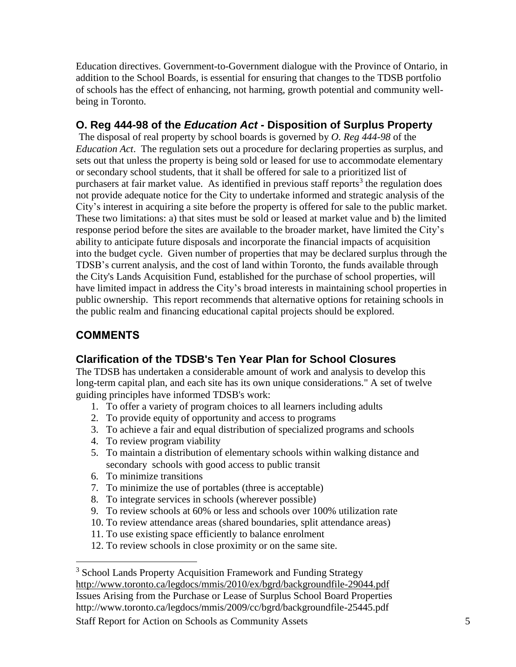Education directives. Government-to-Government dialogue with the Province of Ontario, in addition to the School Boards, is essential for ensuring that changes to the TDSB portfolio of schools has the effect of enhancing, not harming, growth potential and community wellbeing in Toronto.

## **O. Reg 444-98 of the** *Education Act* **- Disposition of Surplus Property**

The disposal of real property by school boards is governed by *O. Reg 444-98* of the *Education Act*. The regulation sets out a procedure for declaring properties as surplus, and sets out that unless the property is being sold or leased for use to accommodate elementary or secondary school students, that it shall be offered for sale to a prioritized list of purchasers at fair market value. As identified in previous staff reports<sup>3</sup> the regulation does not provide adequate notice for the City to undertake informed and strategic analysis of the City's interest in acquiring a site before the property is offered for sale to the public market. These two limitations: a) that sites must be sold or leased at market value and b) the limited response period before the sites are available to the broader market, have limited the City's ability to anticipate future disposals and incorporate the financial impacts of acquisition into the budget cycle. Given number of properties that may be declared surplus through the TDSB's current analysis, and the cost of land within Toronto, the funds available through the City's Lands Acquisition Fund, established for the purchase of school properties, will have limited impact in address the City's broad interests in maintaining school properties in public ownership. This report recommends that alternative options for retaining schools in the public realm and financing educational capital projects should be explored.

# **COMMENTS**

 $\overline{a}$ 

## **Clarification of the TDSB's Ten Year Plan for School Closures**

The TDSB has undertaken a considerable amount of work and analysis to develop this long-term capital plan, and each site has its own unique considerations." A set of twelve guiding principles have informed TDSB's work:

- 1. To offer a variety of program choices to all learners including adults
- 2. To provide equity of opportunity and access to programs
- 3. To achieve a fair and equal distribution of specialized programs and schools
- 4. To review program viability
- 5. To maintain a distribution of elementary schools within walking distance and secondary schools with good access to public transit
- 6. To minimize transitions
- 7. To minimize the use of portables (three is acceptable)
- 8. To integrate services in schools (wherever possible)
- 9. To review schools at 60% or less and schools over 100% utilization rate
- 10. To review attendance areas (shared boundaries, split attendance areas)
- 11. To use existing space efficiently to balance enrolment
- 12. To review schools in close proximity or on the same site.

Staff Report for Action on Schools as Community Assets 5 <sup>3</sup> School Lands Property Acquisition Framework and Funding Strategy <http://www.toronto.ca/legdocs/mmis/2010/ex/bgrd/backgroundfile-29044.pdf> Issues Arising from the Purchase or Lease of Surplus School Board Properties http://www.toronto.ca/legdocs/mmis/2009/cc/bgrd/backgroundfile-25445.pdf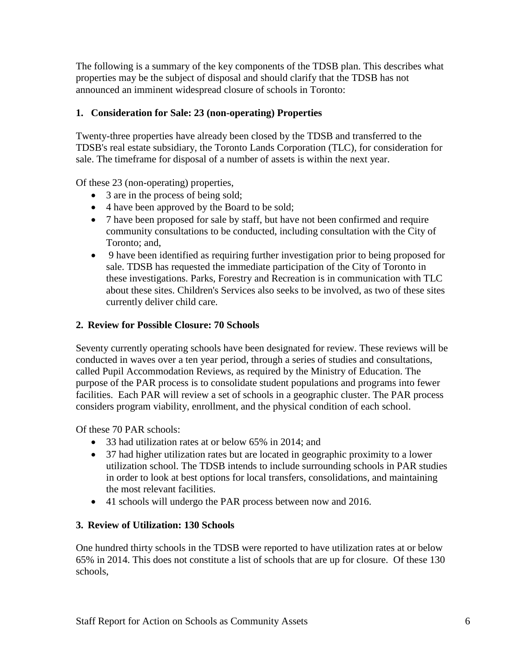The following is a summary of the key components of the TDSB plan. This describes what properties may be the subject of disposal and should clarify that the TDSB has not announced an imminent widespread closure of schools in Toronto:

#### **1. Consideration for Sale: 23 (non-operating) Properties**

Twenty-three properties have already been closed by the TDSB and transferred to the TDSB's real estate subsidiary, the Toronto Lands Corporation (TLC), for consideration for sale. The timeframe for disposal of a number of assets is within the next year.

Of these 23 (non-operating) properties,

- 3 are in the process of being sold;
- 4 have been approved by the Board to be sold;
- 7 have been proposed for sale by staff, but have not been confirmed and require community consultations to be conducted, including consultation with the City of Toronto; and,
- 9 have been identified as requiring further investigation prior to being proposed for sale. TDSB has requested the immediate participation of the City of Toronto in these investigations. Parks, Forestry and Recreation is in communication with TLC about these sites. Children's Services also seeks to be involved, as two of these sites currently deliver child care.

#### **2. Review for Possible Closure: 70 Schools**

Seventy currently operating schools have been designated for review. These reviews will be conducted in waves over a ten year period, through a series of studies and consultations, called Pupil Accommodation Reviews, as required by the Ministry of Education. The purpose of the PAR process is to consolidate student populations and programs into fewer facilities. Each PAR will review a set of schools in a geographic cluster. The PAR process considers program viability, enrollment, and the physical condition of each school.

Of these 70 PAR schools:

- 33 had utilization rates at or below 65% in 2014; and
- 37 had higher utilization rates but are located in geographic proximity to a lower utilization school. The TDSB intends to include surrounding schools in PAR studies in order to look at best options for local transfers, consolidations, and maintaining the most relevant facilities.
- 41 schools will undergo the PAR process between now and 2016.

#### **3. Review of Utilization: 130 Schools**

One hundred thirty schools in the TDSB were reported to have utilization rates at or below 65% in 2014. This does not constitute a list of schools that are up for closure. Of these 130 schools,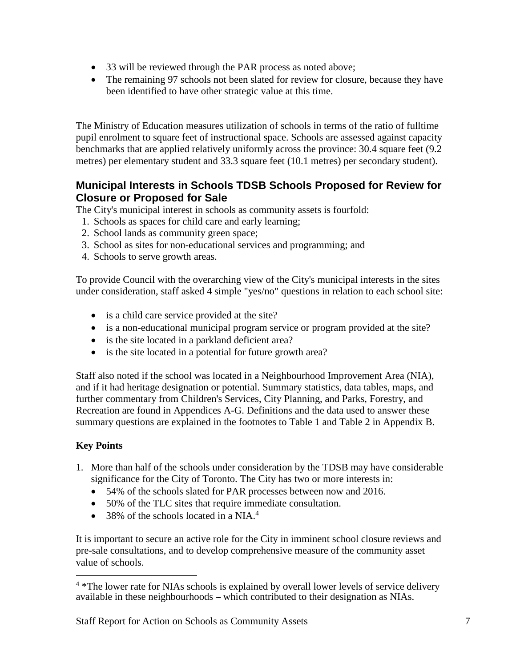- 33 will be reviewed through the PAR process as noted above;
- The remaining 97 schools not been slated for review for closure, because they have been identified to have other strategic value at this time.

The Ministry of Education measures utilization of schools in terms of the ratio of fulltime pupil enrolment to square feet of instructional space. Schools are assessed against capacity benchmarks that are applied relatively uniformly across the province: 30.4 square feet (9.2 metres) per elementary student and 33.3 square feet (10.1 metres) per secondary student).

## **Municipal Interests in Schools TDSB Schools Proposed for Review for Closure or Proposed for Sale**

The City's municipal interest in schools as community assets is fourfold:

- 1. Schools as spaces for child care and early learning;
- 2. School lands as community green space;
- 3. School as sites for non-educational services and programming; and
- 4. Schools to serve growth areas.

To provide Council with the overarching view of the City's municipal interests in the sites under consideration, staff asked 4 simple "yes/no" questions in relation to each school site:

- is a child care service provided at the site?
- is a non-educational municipal program service or program provided at the site?
- is the site located in a parkland deficient area?
- is the site located in a potential for future growth area?

Staff also noted if the school was located in a Neighbourhood Improvement Area (NIA), and if it had heritage designation or potential. Summary statistics, data tables, maps, and further commentary from Children's Services, City Planning, and Parks, Forestry, and Recreation are found in Appendices A-G. Definitions and the data used to answer these summary questions are explained in the footnotes to Table 1 and Table 2 in Appendix B.

#### **Key Points**

 $\overline{a}$ 

- 1. More than half of the schools under consideration by the TDSB may have considerable significance for the City of Toronto. The City has two or more interests in:
	- 54% of the schools slated for PAR processes between now and 2016.
	- 50% of the TLC sites that require immediate consultation.
	- $\bullet$  38% of the schools located in a NIA.<sup>4</sup>

It is important to secure an active role for the City in imminent school closure reviews and pre-sale consultations, and to develop comprehensive measure of the community asset value of schools.

<sup>&</sup>lt;sup>4</sup> \*The lower rate for NIAs schools is explained by overall lower levels of service delivery available in these neighbourhoods – which contributed to their designation as NIAs.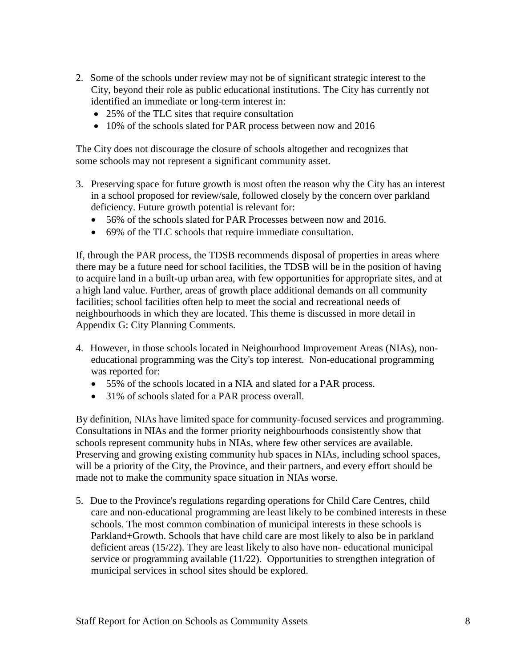- 2. Some of the schools under review may not be of significant strategic interest to the City, beyond their role as public educational institutions. The City has currently not identified an immediate or long-term interest in:
	- 25% of the TLC sites that require consultation
	- 10% of the schools slated for PAR process between now and 2016

 The City does not discourage the closure of schools altogether and recognizes that some schools may not represent a significant community asset.

- 3. Preserving space for future growth is most often the reason why the City has an interest in a school proposed for review/sale, followed closely by the concern over parkland deficiency. Future growth potential is relevant for:
	- 56% of the schools slated for PAR Processes between now and 2016.
	- 69% of the TLC schools that require immediate consultation.

If, through the PAR process, the TDSB recommends disposal of properties in areas where there may be a future need for school facilities, the TDSB will be in the position of having to acquire land in a built-up urban area, with few opportunities for appropriate sites, and at a high land value. Further, areas of growth place additional demands on all community facilities; school facilities often help to meet the social and recreational needs of neighbourhoods in which they are located. This theme is discussed in more detail in Appendix G: City Planning Comments.

- 4. However, in those schools located in Neighourhood Improvement Areas (NIAs), noneducational programming was the City's top interest. Non-educational programming was reported for:
	- 55% of the schools located in a NIA and slated for a PAR process.
	- 31% of schools slated for a PAR process overall.

By definition, NIAs have limited space for community-focused services and programming. Consultations in NIAs and the former priority neighbourhoods consistently show that schools represent community hubs in NIAs, where few other services are available. Preserving and growing existing community hub spaces in NIAs, including school spaces, will be a priority of the City, the Province, and their partners, and every effort should be made not to make the community space situation in NIAs worse.

5. Due to the Province's regulations regarding operations for Child Care Centres, child care and non-educational programming are least likely to be combined interests in these schools. The most common combination of municipal interests in these schools is Parkland+Growth. Schools that have child care are most likely to also be in parkland deficient areas (15/22). They are least likely to also have non- educational municipal service or programming available (11/22). Opportunities to strengthen integration of municipal services in school sites should be explored.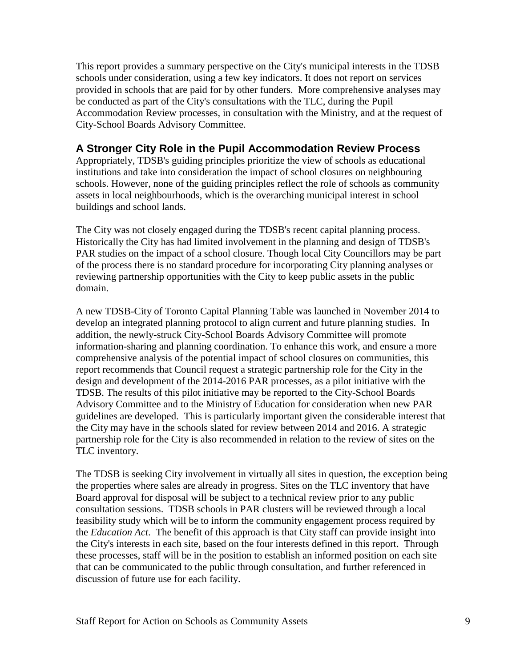This report provides a summary perspective on the City's municipal interests in the TDSB schools under consideration, using a few key indicators. It does not report on services provided in schools that are paid for by other funders. More comprehensive analyses may be conducted as part of the City's consultations with the TLC, during the Pupil Accommodation Review processes, in consultation with the Ministry, and at the request of City-School Boards Advisory Committee.

## **A Stronger City Role in the Pupil Accommodation Review Process**

Appropriately, TDSB's guiding principles prioritize the view of schools as educational institutions and take into consideration the impact of school closures on neighbouring schools. However, none of the guiding principles reflect the role of schools as community assets in local neighbourhoods, which is the overarching municipal interest in school buildings and school lands.

The City was not closely engaged during the TDSB's recent capital planning process. Historically the City has had limited involvement in the planning and design of TDSB's PAR studies on the impact of a school closure. Though local City Councillors may be part of the process there is no standard procedure for incorporating City planning analyses or reviewing partnership opportunities with the City to keep public assets in the public domain.

A new TDSB-City of Toronto Capital Planning Table was launched in November 2014 to develop an integrated planning protocol to align current and future planning studies. In addition, the newly-struck City-School Boards Advisory Committee will promote information-sharing and planning coordination. To enhance this work, and ensure a more comprehensive analysis of the potential impact of school closures on communities, this report recommends that Council request a strategic partnership role for the City in the design and development of the 2014-2016 PAR processes, as a pilot initiative with the TDSB. The results of this pilot initiative may be reported to the City-School Boards Advisory Committee and to the Ministry of Education for consideration when new PAR guidelines are developed. This is particularly important given the considerable interest that the City may have in the schools slated for review between 2014 and 2016. A strategic partnership role for the City is also recommended in relation to the review of sites on the TLC inventory.

The TDSB is seeking City involvement in virtually all sites in question, the exception being the properties where sales are already in progress. Sites on the TLC inventory that have Board approval for disposal will be subject to a technical review prior to any public consultation sessions. TDSB schools in PAR clusters will be reviewed through a local feasibility study which will be to inform the community engagement process required by the *Education Act*. The benefit of this approach is that City staff can provide insight into the City's interests in each site, based on the four interests defined in this report. Through these processes, staff will be in the position to establish an informed position on each site that can be communicated to the public through consultation, and further referenced in discussion of future use for each facility.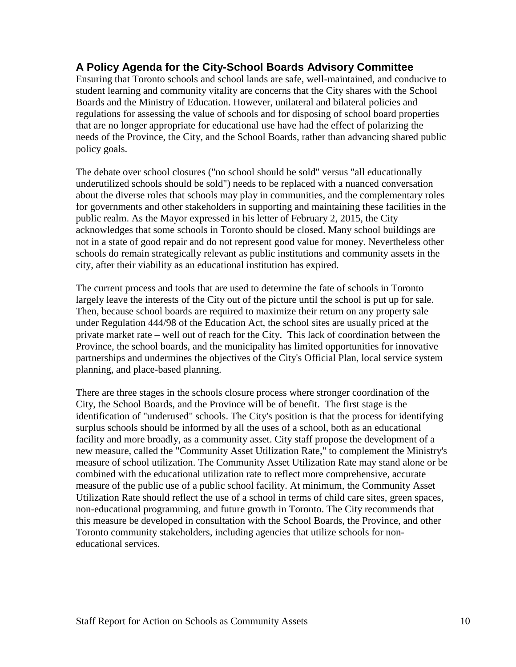## **A Policy Agenda for the City-School Boards Advisory Committee**

Ensuring that Toronto schools and school lands are safe, well-maintained, and conducive to student learning and community vitality are concerns that the City shares with the School Boards and the Ministry of Education. However, unilateral and bilateral policies and regulations for assessing the value of schools and for disposing of school board properties that are no longer appropriate for educational use have had the effect of polarizing the needs of the Province, the City, and the School Boards, rather than advancing shared public policy goals.

The debate over school closures ("no school should be sold" versus "all educationally underutilized schools should be sold") needs to be replaced with a nuanced conversation about the diverse roles that schools may play in communities, and the complementary roles for governments and other stakeholders in supporting and maintaining these facilities in the public realm. As the Mayor expressed in his letter of February 2, 2015, the City acknowledges that some schools in Toronto should be closed. Many school buildings are not in a state of good repair and do not represent good value for money. Nevertheless other schools do remain strategically relevant as public institutions and community assets in the city, after their viability as an educational institution has expired.

The current process and tools that are used to determine the fate of schools in Toronto largely leave the interests of the City out of the picture until the school is put up for sale. Then, because school boards are required to maximize their return on any property sale under Regulation 444/98 of the Education Act, the school sites are usually priced at the private market rate – well out of reach for the City. This lack of coordination between the Province, the school boards, and the municipality has limited opportunities for innovative partnerships and undermines the objectives of the City's Official Plan, local service system planning, and place-based planning.

There are three stages in the schools closure process where stronger coordination of the City, the School Boards, and the Province will be of benefit. The first stage is the identification of "underused" schools. The City's position is that the process for identifying surplus schools should be informed by all the uses of a school, both as an educational facility and more broadly, as a community asset. City staff propose the development of a new measure, called the "Community Asset Utilization Rate," to complement the Ministry's measure of school utilization. The Community Asset Utilization Rate may stand alone or be combined with the educational utilization rate to reflect more comprehensive, accurate measure of the public use of a public school facility. At minimum, the Community Asset Utilization Rate should reflect the use of a school in terms of child care sites, green spaces, non-educational programming, and future growth in Toronto. The City recommends that this measure be developed in consultation with the School Boards, the Province, and other Toronto community stakeholders, including agencies that utilize schools for noneducational services.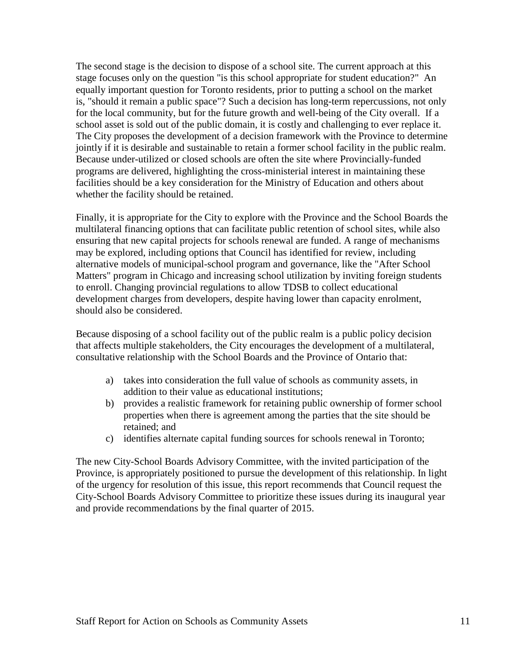The second stage is the decision to dispose of a school site. The current approach at this stage focuses only on the question "is this school appropriate for student education?" An equally important question for Toronto residents, prior to putting a school on the market is, "should it remain a public space"? Such a decision has long-term repercussions, not only for the local community, but for the future growth and well-being of the City overall. If a school asset is sold out of the public domain, it is costly and challenging to ever replace it. The City proposes the development of a decision framework with the Province to determine jointly if it is desirable and sustainable to retain a former school facility in the public realm. Because under-utilized or closed schools are often the site where Provincially-funded programs are delivered, highlighting the cross-ministerial interest in maintaining these facilities should be a key consideration for the Ministry of Education and others about whether the facility should be retained.

Finally, it is appropriate for the City to explore with the Province and the School Boards the multilateral financing options that can facilitate public retention of school sites, while also ensuring that new capital projects for schools renewal are funded. A range of mechanisms may be explored, including options that Council has identified for review, including alternative models of municipal-school program and governance, like the "After School Matters" program in Chicago and increasing school utilization by inviting foreign students to enroll. Changing provincial regulations to allow TDSB to collect educational development charges from developers, despite having lower than capacity enrolment, should also be considered.

Because disposing of a school facility out of the public realm is a public policy decision that affects multiple stakeholders, the City encourages the development of a multilateral, consultative relationship with the School Boards and the Province of Ontario that:

- a) takes into consideration the full value of schools as community assets, in addition to their value as educational institutions;
- b) provides a realistic framework for retaining public ownership of former school properties when there is agreement among the parties that the site should be retained; and
- c) identifies alternate capital funding sources for schools renewal in Toronto;

The new City-School Boards Advisory Committee, with the invited participation of the Province, is appropriately positioned to pursue the development of this relationship. In light of the urgency for resolution of this issue, this report recommends that Council request the City-School Boards Advisory Committee to prioritize these issues during its inaugural year and provide recommendations by the final quarter of 2015.